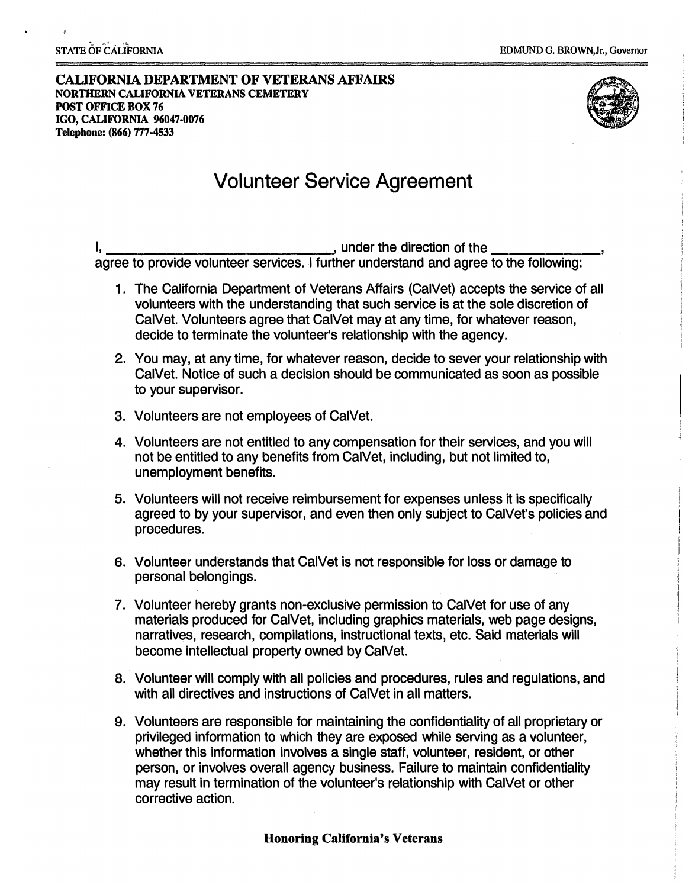#### **CALIFORNIA DEPARTMENT OF VETERANS AFFAIRS NORfflERN CALIFORNIA VETERANS CEMETERY POST OFFICE BOX 76 IGO, CALIFORNIA 96047-0076 Telephone: (866) 777.4533**



# Volunteer Service Agreement

I,  $\frac{1}{2}$  under the direction of the agree to provide volunteer services. I further understand and agree to the following:

- 1. The California Department of Veterans Affairs (CalVet) accepts the service of all volunteers with the understanding that such service is at the sole discretion of CalVet. Volunteers agree that CalVet may at any time, for whatever reason, decide to terminate the volunteer's relationship with the agency.
- 2. You may, at any time, for whatever reason, decide to sever your relationship with CalVet. Notice of such a decision should be communicated as soon as possible to your supervisor.
- 3. Volunteers are not employees of CalVet.
- 4. Volunteers are not entitled to any compensation for their services, and you will not be entitled to any benefits from CalVet, including, but not limited to, unemployment benefits.
- 5. Volunteers will not receive reimbursement for expenses unless It is specifically agreed to by your supervisor, and even then only subject to CalVet's policies and procedures.
- 6, Volunteer understands that CalVet is not responsible for loss or damage to personal belongings.
- 7. Volunteer hereby grants non-exclusive permission to CalVet for use of any materials produced for CalVet, including graphics materials, web page designs, narratives, research, compilations, instructional texts, etc. Said materials will become intellectual property owned by CalVet.
- 8. Volunteer will comply with all policies and procedures, rules and regulations, and with all directives and instructions of CalVet in all matters.
- 9. Volunteers are responsible for maintaining the confidentiality of all proprietary or privileged information to which they are exposed while serving as a volunteer, whether this information involves a single staff, volunteer, resident, or other person, or involves overall agency business. Failure to maintain confidentiality may result in termination of the volunteer's relationship with CalVet or other corrective action.

### **Honoring California's Veterans**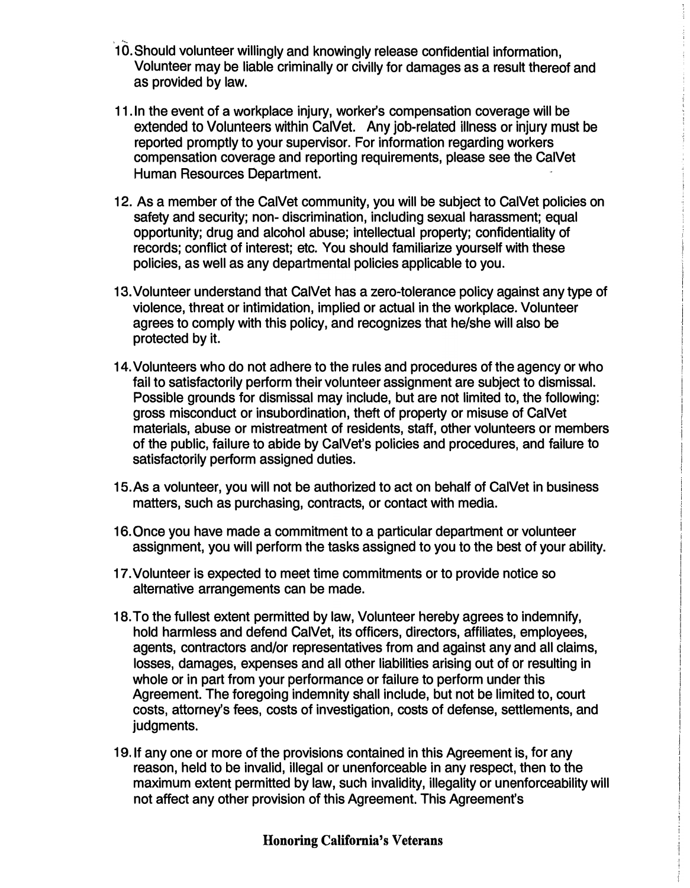- 10. Should volunteer willingly and knowingly release confidential information, Volunteer may be liable criminally or civilly for damages as a result thereof and as provided by law.
- 11. In the event of a workplace injury, worker's compensation coverage will be extended to Volunteers within CalVet. Any job-related illness or injury must be reported promptly to your supervisor. For information regarding workers compensation coverage and reporting requirements, please see the CalVet Human Resources Department.
- 12. As a member of the CalVet community, you will be subject to CalVet policies on safety and security; non- discrimination, including sexual harassment; equal opportunity; drug and alcohol abuse; intellectual property; confidentiality of records; conflict of interest; etc. You should familiarize yourself with these policies, as well as any departmental policies applicable to you.
- 13. Volunteer understand that CalVet has a zero-tolerance policy against any type of violence, threat or intimidation, implied or actual in the workplace. Volunteer agrees to comply with this policy, and recognizes that he/she will also be protected by it.
- 14. Volunteers who do not adhere to the rules and procedures of the agency or who fail to satisfactorily perform their volunteer assignment are subject to dismissal. Possible grounds for dismissal may include, but are not limited to, the following: gross misconduct or insubordination, theft of property or misuse of CalVet materials, abuse or mistreatment of residents, staff, other volunteers or members of the public, failure to abide by CalVet's policies and procedures, and failure to satisfactorily perform assigned duties.
- 15.As a volunteer, you will not be authorized to act on behalf of CalVet in business matters, such as purchasing, contracts, or contact with media.
- 16. Once you have made a commitment to a particular department or volunteer assignment, you will perform the tasks assigned to you to the best of your ability.
- 17. Volunteer is expected to meet time commitments or to provide notice so alternative arrangements can be made.
- 18. To the fullest extent permitted by law, Volunteer hereby agrees to indemnify, hold harmless and defend CalVet, its officers, directors, affiliates, employees, agents, contractors and/or representatives from and against any and all claims, losses, damages, expenses and all other liabilities arising out of or resulting in whole or in part from your performance or failure to perform under this Agreement. The foregoing indemnity shall include, but not be limited to, court costs, attorney's fees, costs of investigation, costs of defense, settlements, and judgments.
- 19. If any one or more of the provisions contained in this Agreement is, for any reason, held to be invalid, illegal or unenforceable in any respect, then to the maximum extent permitted by law, such invalidity, illegality or unenforceability will not affect any other provision of this Agreement. This Agreement's

## **Honoring California's Veterans**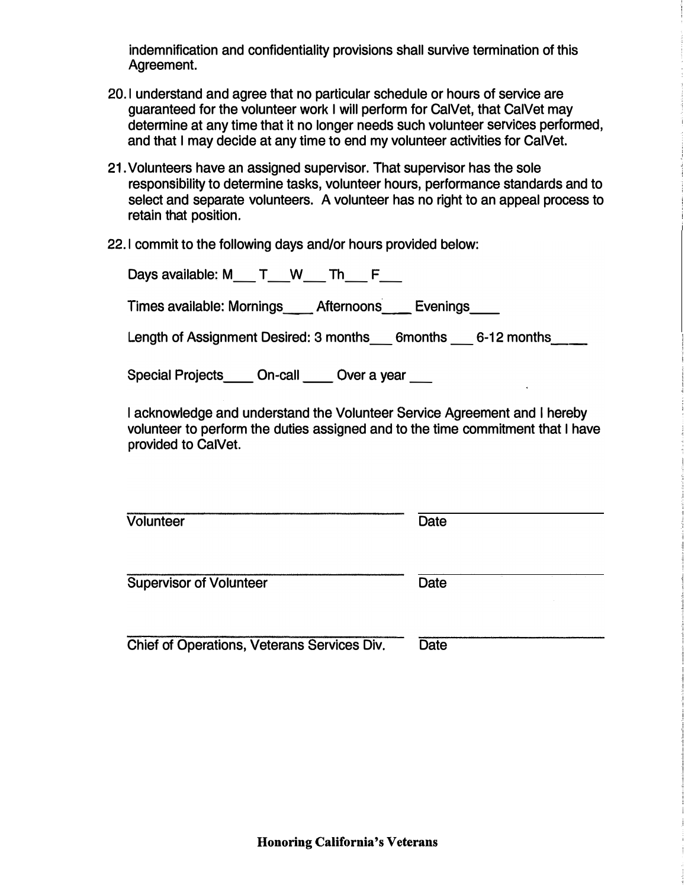indemnification and confidentiality provisions shall survive termination of this Agreement.

- **20.1** understand and agree that no particular schedule or hours of service are guaranteed for the volunteer work I will perform for CalVet, that CalVet may determine at any time that it no longer needs such volunteer services performed, and that I may decide at any time to end my volunteer activities for CalVet.
- 21. Volunteers have an assigned supervisor. That supervisor has the sole responsibility to determine tasks, volunteer hours, performance standards and to select and separate volunteers. A volunteer has no right to an appeal process to retain that position.
- **22.1** commit to the following days and/or hours provided below:

| Days available: M T W Th                                        |
|-----------------------------------------------------------------|
| Times available: Mornings Afternoons<br>Evenings                |
| Length of Assignment Desired: 3 months 6months<br>$6-12$ months |
| <b>Special Projects</b><br>On-call<br>Over a year               |

I acknowledge and understand the Volunteer Service Agreement and I hereby volunteer to perform the duties assigned and to the time commitment that I have provided to CalVet.

Volunteer Date

Supervisor of Volunteer Date

Chief of Operations, Veterans Services Div. Date